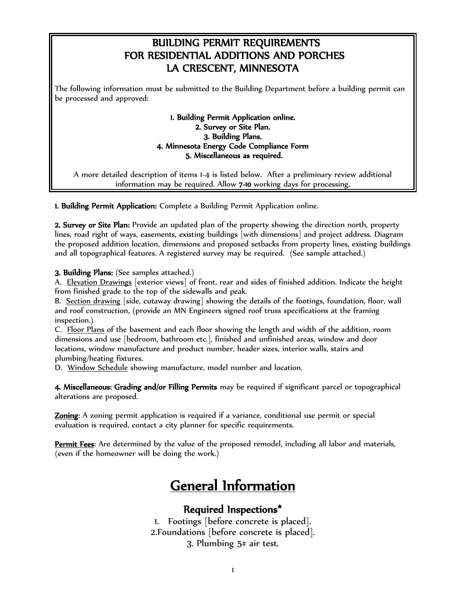## BUILDING PERMIT REQUIREMENTS FOR RESIDENTIAL ADDITIONS AND PORCHES LA CRESCENT, MINNESOTA

The following information must be submitted to the Building Department before a building permit can be processed and approved:

#### 1. Building Permit Application online. 2. Survey or Site Plan. 3. Building Plans. 4. Minnesota Energy Code Compliance Form 5. Miscellaneous as required.

A more detailed description of items 1-4 is listed below. After a preliminary review additional information may be required. Allow 7-10 working days for processing.

1. Building Permit Application: Complete a Building Permit Application online.

2. Survey or Site Plan: Provide an updated plan of the property showing the direction north, property lines, road right of ways, easements, existing buildings [with dimensions] and project address. Diagram the proposed addition location, dimensions and proposed setbacks from property lines, existing buildings and all topographical features. A registered survey may be required. (See sample attached.)

#### 3. Building Plans: (See samples attached.)

A. Elevation Drawings [exterior views] of front, rear and sides of finished addition. Indicate the height from finished grade to the top of the sidewalls and peak.

B. Section drawing [side, cutaway drawing] showing the details of the footings, foundation, floor, wall and roof construction, (provide an MN Engineers signed roof truss specifications at the framing inspection.)

C. Floor Plans of the basement and each floor showing the length and width of the addition, room dimensions and use [bedroom, bathroom etc.], finished and unfinished areas, window and door locations, window manufacture and product number, header sizes, interior walls, stairs and plumbing/heating fixtures.

D. Window Schedule showing manufacture, model number and location.

4. Miscellaneous: Grading and/or Filling Permits may be required if significant parcel or topographical alterations are proposed.

Zoning: A zoning permit application is required if a variance, conditional use permit or special evaluation is required, contact a city planner for specific requirements.

Permit Fees: Are determined by the value of the proposed remodel, including all labor and materials, (even if the homeowner will be doing the work.)

# General Information

### Required Inspections\*

1. Footings [before concrete is placed]. 2.Foundations [before concrete is placed]. 3. Plumbing 5# air test.